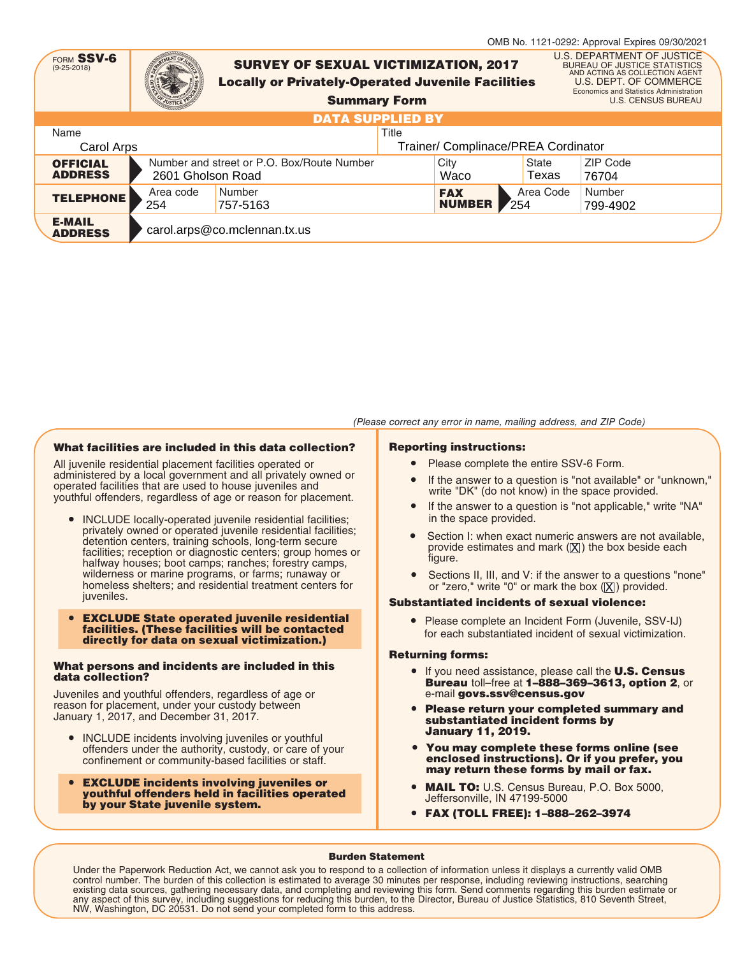| FORM SSV-6<br>$(9 - 25 - 2018)$   |                   |                              | <b>SURVEY OF SEXUAL VICTIMIZATION, 2017</b><br><b>Locally or Privately-Operated Juvenile Facilities</b><br><b>Summary Form</b> |       |                                     |                   | OMB No. 1121-0292: Approval Expires 09/30/2021<br>U.S. DEPARTMENT OF JUSTICE<br><b>BUREAU OF JUSTICE STATISTICS</b><br>AND ACTING AS COLLECTION AGENT<br>U.S. DEPT. OF COMMERCE<br>Economics and Statistics Administration<br><b>U.S. CENSUS BUREAU</b> |  |
|-----------------------------------|-------------------|------------------------------|--------------------------------------------------------------------------------------------------------------------------------|-------|-------------------------------------|-------------------|---------------------------------------------------------------------------------------------------------------------------------------------------------------------------------------------------------------------------------------------------------|--|
|                                   |                   |                              | <b>DATA SUPPLIED BY</b>                                                                                                        |       |                                     |                   |                                                                                                                                                                                                                                                         |  |
| Name                              |                   |                              |                                                                                                                                | Title |                                     |                   |                                                                                                                                                                                                                                                         |  |
| Carol Arps                        |                   |                              |                                                                                                                                |       | Trainer/ Complinace/PREA Cordinator |                   |                                                                                                                                                                                                                                                         |  |
| <b>OFFICIAL</b><br><b>ADDRESS</b> | 2601 Gholson Road |                              | Number and street or P.O. Box/Route Number                                                                                     |       | City<br>Waco                        | State<br>Texas    | ZIP Code<br>76704                                                                                                                                                                                                                                       |  |
| <b>TELEPHONE</b>                  | Area code<br>254  | Number<br>757-5163           |                                                                                                                                |       | <b>FAX</b><br><b>NUMBER</b>         | Area Code<br>254" | Number<br>799-4902                                                                                                                                                                                                                                      |  |
| <b>E-MAIL</b><br><b>ADDRESS</b>   |                   | carol.arps@co.mclennan.tx.us |                                                                                                                                |       |                                     |                   |                                                                                                                                                                                                                                                         |  |

#### (Please correct any error in name, mailing address, and ZIP Code)

#### What facilities are included in this data collection?

All juvenile residential placement facilities operated or administered by a local government and all privately owned or operated facilities that are used to house juveniles and youthful offenders, regardless of age or reason for placement.

- INCLUDE locally-operated juvenile residential facilities; privately owned or operated juvenile residential facilities; detention centers, training schools, long-term secure facilities; reception or diagnostic centers; group homes or halfway houses; boot camps; ranches; forestry camps, wilderness or marine programs, or farms; runaway or homeless shelters; and residential treatment centers for juveniles.
- EXCLUDE State operated juvenile residential facilities. (These facilities will be contacted directly for data on sexual victimization.)

#### What persons and incidents are included in this data collection?

Juveniles and youthful offenders, regardless of age or reason for placement, under your custody between January 1, 2017, and December 31, 2017.

- INCLUDE incidents involving juveniles or youthful offenders under the authority, custody, or care of your confinement or community-based facilities or staff.
- EXCLUDE incidents involving juveniles or youthful offenders held in facilities operated by your State juvenile system.

#### Reporting instructions:

- Please complete the entire SSV-6 Form.
- If the answer to a question is "not available" or "unknown," write "DK" (do not know) in the space provided.
- If the answer to a question is "not applicable," write "NA" in the space provided.
- Section I: when exact numeric answers are not available, provide estimates and mark ( $[{\bf \large \underline X}]$ ) the box beside each figure.
- Sections II, III, and V: if the answer to a questions "none" or "zero," write "0" or mark the box  $(\underline{\mathsf{X}})$  provided.

## Substantiated incidents of sexual violence:

● Please complete an Incident Form (Juvenile, SSV-IJ) for each substantiated incident of sexual victimization.

#### Returning forms:

- If you need assistance, please call the **U.S. Census** Bureau toll–free at 1–888–369–3613, option 2, or e-mail govs.ssv@census.gov
- Please return your completed summary and substantiated incident forms by January 11, 2019.
- You may complete these forms online (see enclosed instructions). Or if you prefer, you may return these forms by mail or fax.
- MAIL TO: U.S. Census Bureau, P.O. Box 5000, Jeffersonville, IN 47199-5000
- FAX (TOLL FREE): 1–888–262–3974

#### Burden Statement

Under the Paperwork Reduction Act, we cannot ask you to respond to a collection of information unless it displays a currently valid OMB control number. The burden of this collection is estimated to average 30 minutes per response, including reviewing instructions, searching<br>existing data sources, gathering necessary data, and completing and reviewing this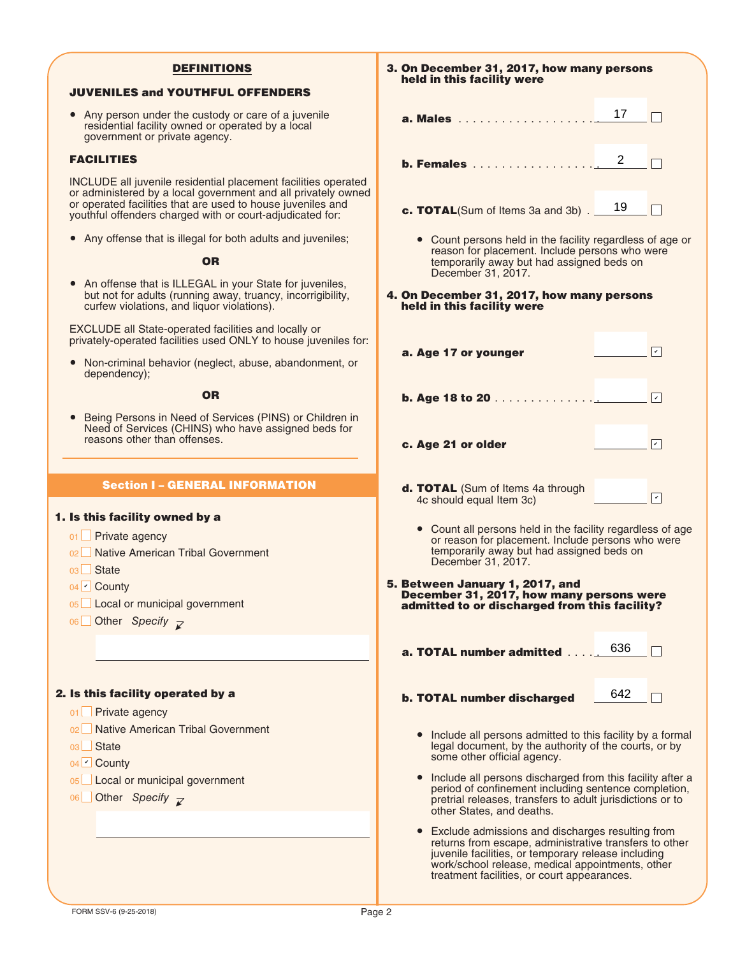# DEFINITIONS

# JUVENILES and YOUTHFUL OFFENDERS

• Any person under the custody or care of a juvenile residential facility owned or operated by a local government or private agency.

## FACILITIES

INCLUDE all juvenile residential placement facilities operated or administered by a local government and all privately owned or operated facilities that are used to house juveniles and youthful offenders charged with or court-adjudicated for:

● Any offense that is illegal for both adults and juveniles;

# **OR**

● An offense that is ILLEGAL in your State for juveniles, but not for adults (running away, truancy, incorrigibility, curfew violations, and liquor violations).

EXCLUDE all State-operated facilities and locally or privately-operated facilities used ONLY to house juveniles for:

● Non-criminal behavior (neglect, abuse, abandonment, or dependency);

**OR** 

● Being Persons in Need of Services (PINS) or Children in Need of Services (CHINS) who have assigned beds for reasons other than offenses.

# Section I – GENERAL INFORMATION

#### 1. Is this facility owned by a

01 **□ Private agency** 

- 02 Native American Tribal Government
- 03∟ State

04 **Z** County

- 05 Local or municipal government
- 06 Other *Specify*

#### 2. Is this facility operated by a

- 01 **□ Private agency**
- 02 Native American Tribal Government
- 03∟ State
- 04 County ✔
- 05∟ Local or municipal government
- 06 Other Specify

3. On December 31, 2017, how many persons held in this facility were a. Males  $\begin{array}{c} 17 \end{array}$  $\Box$   $\Box$ **b. Females** . . . . . . . . . . . . . . . . . . 2 c. TOTAL(Sum of Items 3a and 3b). 19 ● Count persons held in the facility regardless of age or reason for placement. Include persons who were temporarily away but had assigned beds on December 31, 2017. 4. On December 31, 2017, how many persons held in this facility were a. Age 17 or younger  $\boxed{\triangledown}$ b. Age 18 to 20 . . . . . . . . . . . . . . .  $\sqrt{2}$ ✔ c. Age 21 or older d. TOTAL (Sum of Items 4a through  $\sqrt{2}$ 4c should equal Item 3c) ● Count all persons held in the facility regardless of age or reason for placement. Include persons who were temporarily away but had assigned beds on December 31, 2017. 5. Between January 1, 2017, and December 31, 2017, how many persons were admitted to or discharged from this facility? a. TOTAL number admitted . . . . . 636 642**TERM** b. TOTAL number discharged ● Include all persons admitted to this facility by a formal legal document, by the authority of the courts, or by some other official agency. ● Include all persons discharged from this facility after a period of confinement including sentence completion, pretrial releases, transfers to adult jurisdictions or to other States, and deaths. ● Exclude admissions and discharges resulting from returns from escape, administrative transfers to other

juvenile facilities, or temporary release including work/school release, medical appointments, other treatment facilities, or court appearances.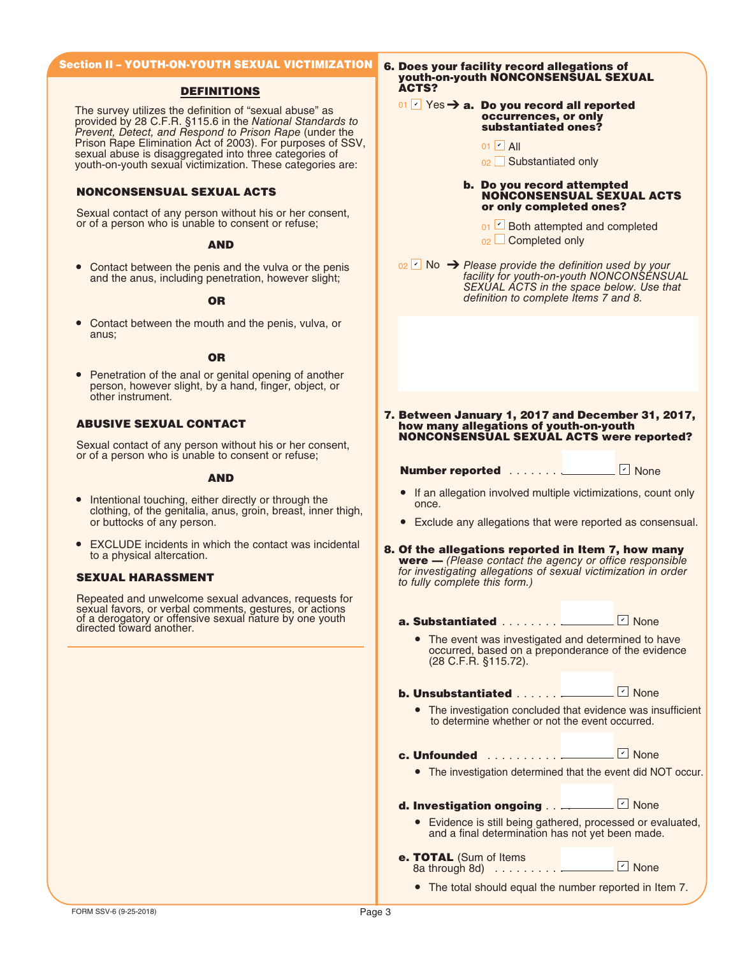# Section II – YOUTH-ON-YOUTH SEXUAL VICTIMIZATION

## DEFINITIONS

The survey utilizes the definition of "sexual abuse" as provided by 28 C.F.R. §115.6 in the National Standards to Prevent, Detect, and Respond to Prison Rape (under the Prison Rape Elimination Act of 2003). For purposes of SSV, sexual abuse is disaggregated into three categories of youth-on-youth sexual victimization. These categories are:

# NONCONSENSUAL SEXUAL ACTS

Sexual contact of any person without his or her consent, or of a person who is unable to consent or refuse;

## AND

• Contact between the penis and the vulva or the penis and the anus, including penetration, however slight;

## OR

Contact between the mouth and the penis, vulva, or anus;

#### **OR**

● Penetration of the anal or genital opening of another person, however slight, by a hand, finger, object, or other instrument.

# ABUSIVE SEXUAL CONTACT

Sexual contact of any person without his or her consent, or of a person who is unable to consent or refuse;

#### AND

- Intentional touching, either directly or through the clothing, of the genitalia, anus, groin, breast, inner thigh, or buttocks of any person.
- EXCLUDE incidents in which the contact was incidental to a physical altercation.

Repeated and unwelcome sexual advances, requests for sexual favors, or verbal comments, gestures, or actions of a derogatory or offensive sexual nature by one youth directed toward another.

6. Does your facility record allegations of youth-on-youth NONCONSENSUAL SEXUAL ACTS?

#### 01  $\vee$  Yes  $\rightarrow$  a. Do you record all reported occurrences, or only substantiated ones?

- 01 <mark>ビ</mark> All
- 02 Substantiated only

#### b. Do you record attempted NONCONSENSUAL SEXUAL ACTS or only completed ones?

- o<sub>1</sub> Doth attempted and completed
- $_{02}$   $\Box$  Completed only

 $\frac{1}{2}$  No  $\rightarrow$  Please provide the definition used by your facility for youth-on-youth NONCONSENSUAL SEXUAL ACTS in the space below. Use that definition to complete Items 7 and 8.

7. Between January 1, 2017 and December 31, 2017, how many allegations of youth-on-youth NONCONSENSUAL SEXUAL ACTS were reported?

Number reported . . . . . . . <u>Under</u>

 $\Box$  None

- If an allegation involved multiple victimizations, count only once.
- Exclude any allegations that were reported as consensual.
- EXOLODE incluents in which the contact was incluented **8. Of the allegations reported in Item 7, how many**<br>to a physical altercation. **were**  $-$  (Please contact the agency or office responsible for investigating allegations of sexual victimization in order **SEXUAL HARASSMENT** SEXUAL **HARASSMENT** to fully complete this form.)

a. Substantiated . . . . . . . . . <mark>의 None</mark>

• The event was investigated and determined to have occurred, based on a preponderance of the evidence (28 C.F.R. §115.72).

b. Unsubstantiated . . . . . . . None ✔

● The investigation concluded that evidence was insufficient to determine whether or not the event occurred.

c. Unfounded . . . . . . . . . . .

● The investigation determined that the event did NOT occur.

None ✔

d. Investigation ongoing . . ... <mark>의 None</mark>

- Evidence is still being gathered, processed or evaluated, and a final determination has not yet been made.
- e. TOTAL (Sum of Items 8a through 8d) . . . . . . . . . . None ✔

● The total should equal the number reported in Item 7.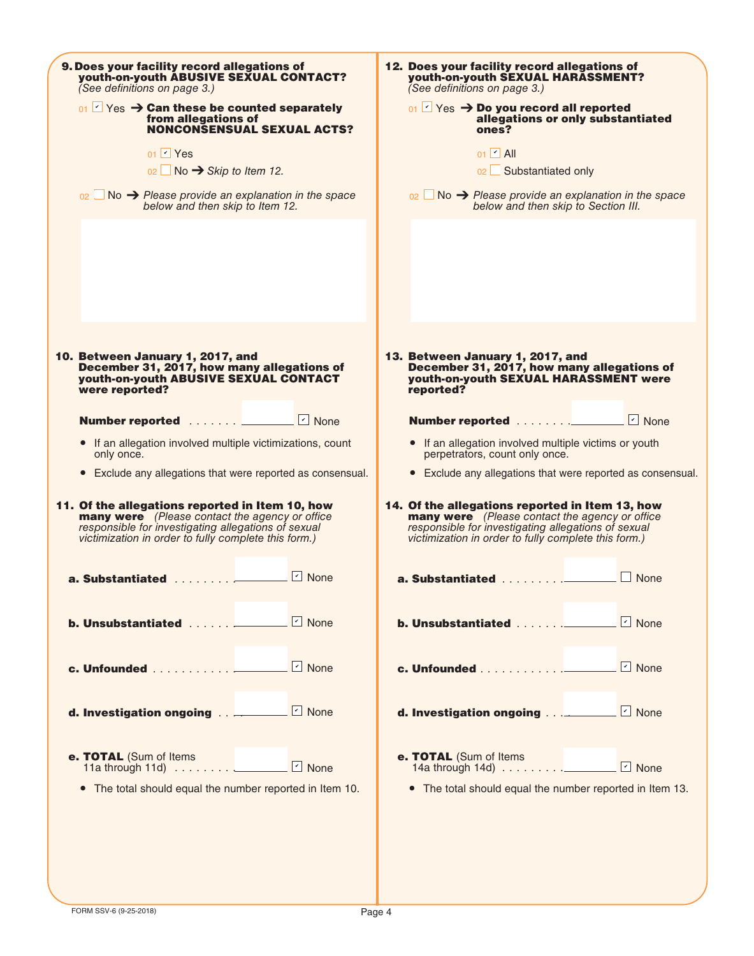| 9. Does your facility record allegations of<br>youth-on-youth ABUSIVE SEXUAL CONTACT?<br>(See definitions on page 3.)                                                                                                   | 12. Does your facility record allegations of<br>youth-on-youth SEXUAL HARASSMENT?<br>(See definitions on page 3.)                                                                                                |
|-------------------------------------------------------------------------------------------------------------------------------------------------------------------------------------------------------------------------|------------------------------------------------------------------------------------------------------------------------------------------------------------------------------------------------------------------|
| $_{01}$ $\vee$ Yes $\rightarrow$ Can these be counted separately<br>from allegations of<br><b>NONCONSENSUAL SEXUAL ACTS?</b>                                                                                            | $_{01}$ $\triangleright$ Yes $\rightarrow$ Do you record all reported<br>allegations or only substantiated<br>ones?                                                                                              |
| $01$ $\sqrt{ }$ Yes                                                                                                                                                                                                     | $01$ $\sim$ All                                                                                                                                                                                                  |
| $02 \Box$ No $\rightarrow$ Skip to Item 12.                                                                                                                                                                             | 02 Substantiated only                                                                                                                                                                                            |
| $_{02}$ No $\rightarrow$ Please provide an explanation in the space<br>below and then skip to Item 12.                                                                                                                  | $_{02}$ No $\rightarrow$ Please provide an explanation in the space<br>below and then skip to Section III.                                                                                                       |
|                                                                                                                                                                                                                         |                                                                                                                                                                                                                  |
|                                                                                                                                                                                                                         |                                                                                                                                                                                                                  |
| 10. Between January 1, 2017, and<br>December 31, 2017, how many allegations of<br>youth-on-youth ABUSIVE SEXUAL CONTACT<br>were reported?                                                                               | 13. Between January 1, 2017, and<br>December 31, 2017, how many allegations of<br>youth-on-youth SEXUAL HARASSMENT were<br>reported?                                                                             |
| Number reported <u>_______</u> D None                                                                                                                                                                                   |                                                                                                                                                                                                                  |
| • If an allegation involved multiple victimizations, count<br>only once.                                                                                                                                                | • If an allegation involved multiple victims or youth<br>perpetrators, count only once.                                                                                                                          |
| • Exclude any allegations that were reported as consensual.                                                                                                                                                             | • Exclude any allegations that were reported as consensual.                                                                                                                                                      |
| 11. Of the allegations reported in Item 10, how<br><b>many were</b> (Please contact the agency or office<br>responsible for investigating allegations of sexual<br>victimization in order to fully complete this form.) | 14. Of the allegations reported in Item 13, how<br>many were (Please contact the agency or office<br>responsible for investigating allegations of sexual<br>victimization in order to fully complete this form.) |
| $\boxed{\phantom{1}}$ None<br>a. Substantiated 2000                                                                                                                                                                     | None                                                                                                                                                                                                             |
|                                                                                                                                                                                                                         |                                                                                                                                                                                                                  |
|                                                                                                                                                                                                                         |                                                                                                                                                                                                                  |
| d. Investigation ongoing _________ 7 None                                                                                                                                                                               | d. Investigation ongoing When I None                                                                                                                                                                             |
| e. TOTAL (Sum of Items                                                                                                                                                                                                  | e. TOTAL (Sum of Items<br>14a through 14d) $\ldots \ldots \ldots \ldots$ Mone                                                                                                                                    |
| The total should equal the number reported in Item 10.<br>$\bullet$                                                                                                                                                     | • The total should equal the number reported in Item 13.                                                                                                                                                         |
|                                                                                                                                                                                                                         |                                                                                                                                                                                                                  |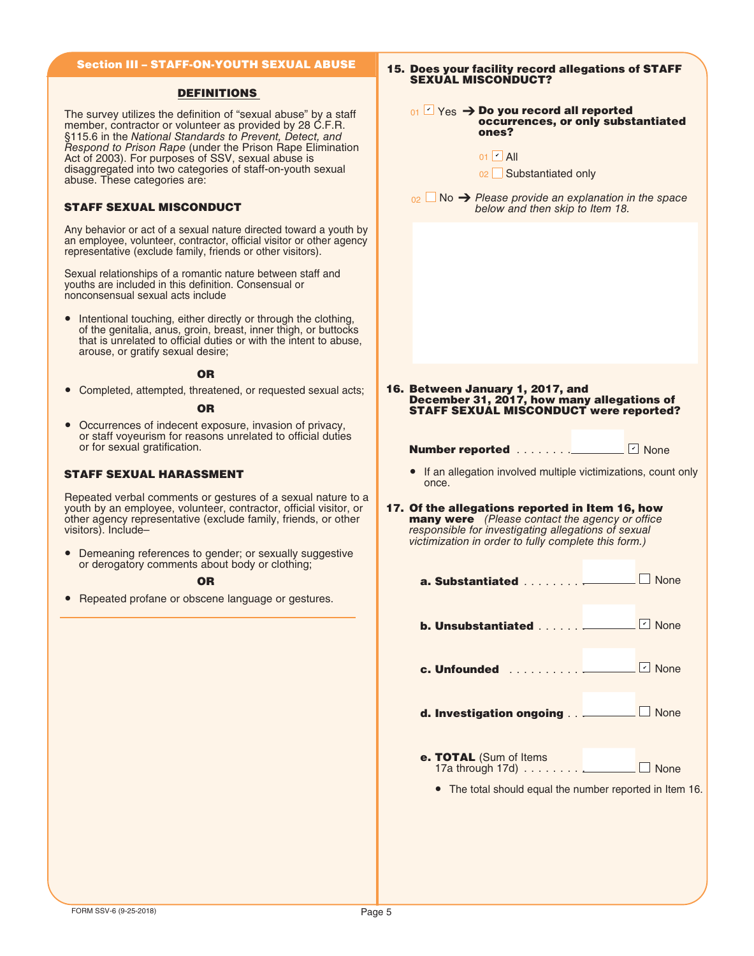# Section III – STAFF-ON-YOUTH SEXUAL ABUSE

## DEFINITIONS

The survey utilizes the definition of "sexual abuse" by a staff member, contractor or volunteer as provided by 28 C.F.R. §115.6 in the National Standards to Prevent, Detect, and Respond to Prison Rape (under the Prison Rape Elimination Act of 2003). For purposes of SSV, sexual abuse is disaggregated into two categories of staff-on-youth sexual abuse. These categories are:

# STAFF SEXUAL MISCONDUCT

Any behavior or act of a sexual nature directed toward a youth by an employee, volunteer, contractor, official visitor or other agency representative (exclude family, friends or other visitors).

Sexual relationships of a romantic nature between staff and youths are included in this definition. Consensual or nonconsensual sexual acts include

● Intentional touching, either directly or through the clothing, of the genitalia, anus, groin, breast, inner thigh, or buttocks that is unrelated to official duties or with the intent to abuse, arouse, or gratify sexual desire;

#### OR

● Completed, attempted, threatened, or requested sexual acts;

#### OR

● Occurrences of indecent exposure, invasion of privacy, or staff voyeurism for reasons unrelated to official duties or for sexual gratification.

# STAFF SEXUAL HARASSMENT

Repeated verbal comments or gestures of a sexual nature to a youth by an employee, volunteer, contractor, official visitor, or other agency representative (exclude family, friends, or other visitors). Include–

● Demeaning references to gender; or sexually suggestive or derogatory comments about body or clothing;

#### OR

● Repeated profane or obscene language or gestures.

| 15. Does your facility record allegations of STAFF<br><b>SEXUAL MISCONDUCT?</b>                                                                                                                                         |                                    |  |  |  |  |  |  |
|-------------------------------------------------------------------------------------------------------------------------------------------------------------------------------------------------------------------------|------------------------------------|--|--|--|--|--|--|
| $_{01}$ $\Box$ Yes $\rightarrow$ Do you record all reported<br>ones?                                                                                                                                                    | occurrences, or only substantiated |  |  |  |  |  |  |
| $01$ $\vee$ All<br>02 Substantiated only                                                                                                                                                                                |                                    |  |  |  |  |  |  |
| $_{02}$ No $\rightarrow$ Please provide an explanation in the space<br>below and then skip to Item 18.                                                                                                                  |                                    |  |  |  |  |  |  |
|                                                                                                                                                                                                                         |                                    |  |  |  |  |  |  |
|                                                                                                                                                                                                                         |                                    |  |  |  |  |  |  |
|                                                                                                                                                                                                                         |                                    |  |  |  |  |  |  |
|                                                                                                                                                                                                                         |                                    |  |  |  |  |  |  |
| 16. Between January 1, 2017, and                                                                                                                                                                                        |                                    |  |  |  |  |  |  |
| December 31, 2017, how many allegations of<br><b>STAFF SEXUAL MISCONDUCT were reported?</b>                                                                                                                             |                                    |  |  |  |  |  |  |
| <b>Number reported</b>                                                                                                                                                                                                  | $\lvert \cdot \rvert$ None         |  |  |  |  |  |  |
| If an allegation involved multiple victimizations, count only<br>once.                                                                                                                                                  |                                    |  |  |  |  |  |  |
| 17. Of the allegations reported in Item 16, how<br><b>many were</b> (Please contact the agency or office<br>responsible for investigating allegations of sexual<br>victimization in order to fully complete this form.) |                                    |  |  |  |  |  |  |
| a. Substantiated                                                                                                                                                                                                        | None                               |  |  |  |  |  |  |
| b. Unsubstantiated <u>_________</u> D None                                                                                                                                                                              |                                    |  |  |  |  |  |  |
|                                                                                                                                                                                                                         |                                    |  |  |  |  |  |  |
| d. Investigation ongoing ________ None                                                                                                                                                                                  |                                    |  |  |  |  |  |  |
| e. TOTAL (Sum of Items                                                                                                                                                                                                  |                                    |  |  |  |  |  |  |
| • The total should equal the number reported in Item 16.                                                                                                                                                                |                                    |  |  |  |  |  |  |